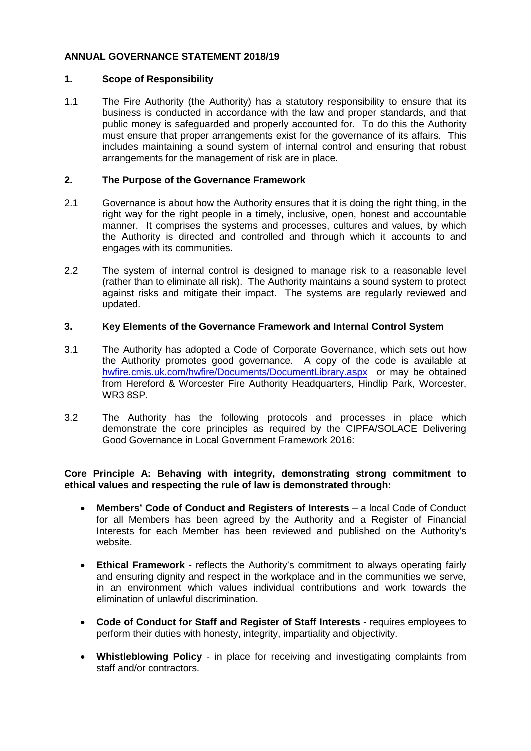# **ANNUAL GOVERNANCE STATEMENT 2018/19**

## **1. Scope of Responsibility**

1.1 The Fire Authority (the Authority) has a statutory responsibility to ensure that its business is conducted in accordance with the law and proper standards, and that public money is safeguarded and properly accounted for. To do this the Authority must ensure that proper arrangements exist for the governance of its affairs. This includes maintaining a sound system of internal control and ensuring that robust arrangements for the management of risk are in place.

## **2. The Purpose of the Governance Framework**

- 2.1 Governance is about how the Authority ensures that it is doing the right thing, in the right way for the right people in a timely, inclusive, open, honest and accountable manner. It comprises the systems and processes, cultures and values, by which the Authority is directed and controlled and through which it accounts to and engages with its communities.
- 2.2 The system of internal control is designed to manage risk to a reasonable level (rather than to eliminate all risk). The Authority maintains a sound system to protect against risks and mitigate their impact. The systems are regularly reviewed and updated.

# **3. Key Elements of the Governance Framework and Internal Control System**

- 3.1 The Authority has adopted a Code of Corporate Governance, which sets out how the Authority promotes good governance. A copy of the code is available at [hwfire.cmis.uk.com/hwfire/Documents/DocumentLibrary.aspx](https://hwfire.cmis.uk.com/hwfire/Documents/DocumentLibrary.aspx) or may be obtained from Hereford & Worcester Fire Authority Headquarters, Hindlip Park, Worcester, WR3 8SP.
- 3.2 The Authority has the following protocols and processes in place which demonstrate the core principles as required by the CIPFA/SOLACE Delivering Good Governance in Local Government Framework 2016:

# **Core Principle A: Behaving with integrity, demonstrating strong commitment to ethical values and respecting the rule of law is demonstrated through:**

- **Members' Code of Conduct and Registers of Interests** a local Code of Conduct for all Members has been agreed by the Authority and a Register of Financial Interests for each Member has been reviewed and published on the Authority's website.
- **Ethical Framework**  reflects the Authority's commitment to always operating fairly and ensuring dignity and respect in the workplace and in the communities we serve, in an environment which values individual contributions and work towards the elimination of unlawful discrimination.
- **Code of Conduct for Staff and Register of Staff Interests** requires employees to perform their duties with honesty, integrity, impartiality and objectivity.
- **Whistleblowing Policy** in place for receiving and investigating complaints from staff and/or contractors.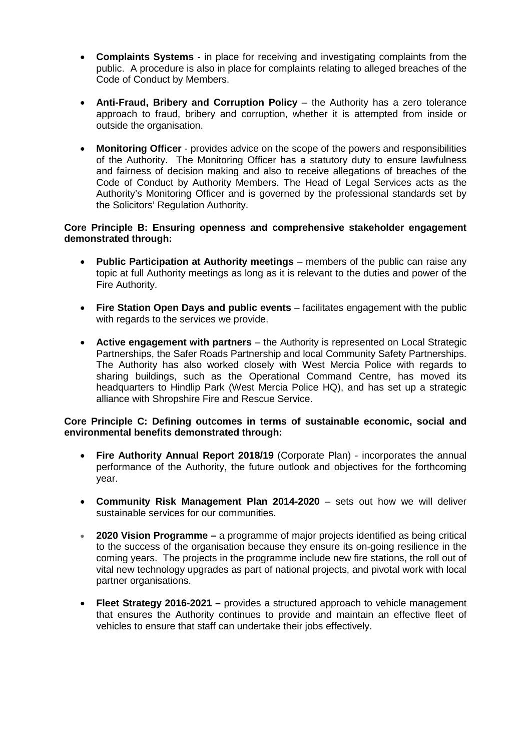- **Complaints Systems** in place for receiving and investigating complaints from the public. A procedure is also in place for complaints relating to alleged breaches of the Code of Conduct by Members.
- **Anti-Fraud, Bribery and Corruption Policy** the Authority has a zero tolerance approach to fraud, bribery and corruption, whether it is attempted from inside or outside the organisation.
- **Monitoring Officer** provides advice on the scope of the powers and responsibilities of the Authority. The Monitoring Officer has a statutory duty to ensure lawfulness and fairness of decision making and also to receive allegations of breaches of the Code of Conduct by Authority Members. The Head of Legal Services acts as the Authority's Monitoring Officer and is governed by the professional standards set by the Solicitors' Regulation Authority.

## **Core Principle B: Ensuring openness and comprehensive stakeholder engagement demonstrated through:**

- **Public Participation at Authority meetings** members of the public can raise any topic at full Authority meetings as long as it is relevant to the duties and power of the Fire Authority.
- **Fire Station Open Days and public events** facilitates engagement with the public with regards to the services we provide.
- **Active engagement with partners** the Authority is represented on Local Strategic Partnerships, the Safer Roads Partnership and local Community Safety Partnerships. The Authority has also worked closely with West Mercia Police with regards to sharing buildings, such as the Operational Command Centre, has moved its headquarters to Hindlip Park (West Mercia Police HQ), and has set up a strategic alliance with Shropshire Fire and Rescue Service.

# **Core Principle C: Defining outcomes in terms of sustainable economic, social and environmental benefits demonstrated through:**

- **Fire Authority Annual Report 2018/19** (Corporate Plan) incorporates the annual performance of the Authority, the future outlook and objectives for the forthcoming year.
- **Community Risk Management Plan 2014-2020** sets out how we will deliver sustainable services for our communities.
- **2020 Vision Programme –** a programme of major projects identified as being critical to the success of the organisation because they ensure its on-going resilience in the coming years. The projects in the programme include new fire stations, the roll out of vital new technology upgrades as part of national projects, and pivotal work with local partner organisations.
- **Fleet Strategy 2016-2021 –** provides a structured approach to vehicle management that ensures the Authority continues to provide and maintain an effective fleet of vehicles to ensure that staff can undertake their jobs effectively.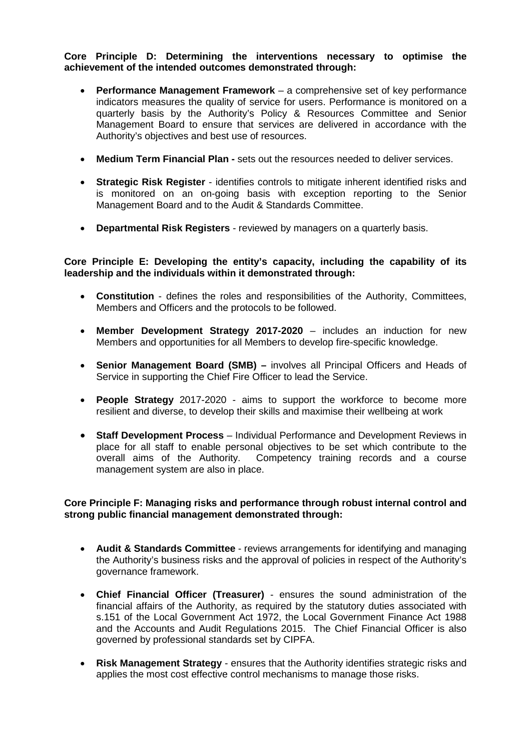## **Core Principle D: Determining the interventions necessary to optimise the achievement of the intended outcomes demonstrated through:**

- **Performance Management Framework** a comprehensive set of key performance indicators measures the quality of service for users. Performance is monitored on a quarterly basis by the Authority's Policy & Resources Committee and Senior Management Board to ensure that services are delivered in accordance with the Authority's objectives and best use of resources.
- **Medium Term Financial Plan -** sets out the resources needed to deliver services.
- **Strategic Risk Register** identifies controls to mitigate inherent identified risks and is monitored on an on-going basis with exception reporting to the Senior Management Board and to the Audit & Standards Committee.
- **Departmental Risk Registers** reviewed by managers on a quarterly basis.

# **Core Principle E: Developing the entity's capacity, including the capability of its leadership and the individuals within it demonstrated through:**

- **Constitution** defines the roles and responsibilities of the Authority, Committees, Members and Officers and the protocols to be followed.
- **Member Development Strategy 2017-2020** includes an induction for new Members and opportunities for all Members to develop fire-specific knowledge.
- **Senior Management Board (SMB) –** involves all Principal Officers and Heads of Service in supporting the Chief Fire Officer to lead the Service.
- **People Strategy** 2017-2020 aims to support the workforce to become more resilient and diverse, to develop their skills and maximise their wellbeing at work
- **Staff Development Process** Individual Performance and Development Reviews in place for all staff to enable personal objectives to be set which contribute to the overall aims of the Authority. Competency training records and a course management system are also in place.

# **Core Principle F: Managing risks and performance through robust internal control and strong public financial management demonstrated through:**

- **Audit & Standards Committee** reviews arrangements for identifying and managing the Authority's business risks and the approval of policies in respect of the Authority's governance framework.
- **Chief Financial Officer (Treasurer)** ensures the sound administration of the financial affairs of the Authority, as required by the statutory duties associated with s.151 of the Local Government Act 1972, the Local Government Finance Act 1988 and the Accounts and Audit Regulations 2015. The Chief Financial Officer is also governed by professional standards set by CIPFA.
- **Risk Management Strategy** ensures that the Authority identifies strategic risks and applies the most cost effective control mechanisms to manage those risks.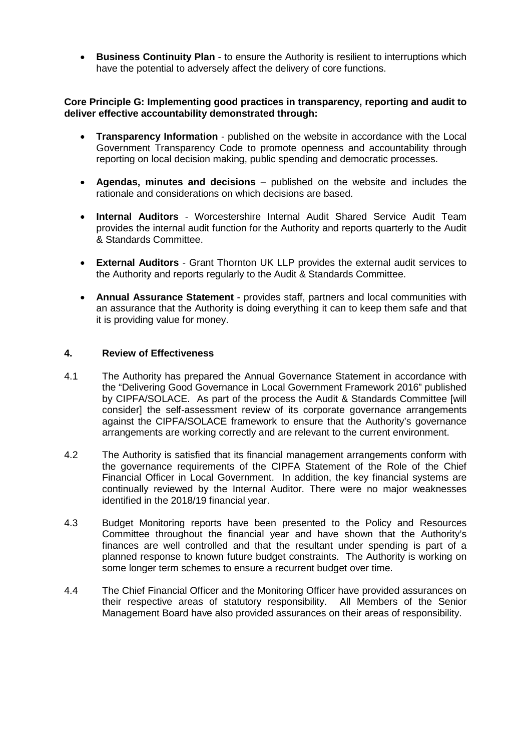• **Business Continuity Plan** - to ensure the Authority is resilient to interruptions which have the potential to adversely affect the delivery of core functions.

#### **Core Principle G: Implementing good practices in transparency, reporting and audit to deliver effective accountability demonstrated through:**

- **Transparency Information** published on the website in accordance with the Local Government Transparency Code to promote openness and accountability through reporting on local decision making, public spending and democratic processes.
- **Agendas, minutes and decisions** published on the website and includes the rationale and considerations on which decisions are based.
- **Internal Auditors** Worcestershire Internal Audit Shared Service Audit Team provides the internal audit function for the Authority and reports quarterly to the Audit & Standards Committee.
- **External Auditors**  Grant Thornton UK LLP provides the external audit services to the Authority and reports regularly to the Audit & Standards Committee.
- **Annual Assurance Statement** provides staff, partners and local communities with an assurance that the Authority is doing everything it can to keep them safe and that it is providing value for money.

#### **4. Review of Effectiveness**

- 4.1 The Authority has prepared the Annual Governance Statement in accordance with the "Delivering Good Governance in Local Government Framework 2016" published by CIPFA/SOLACE. As part of the process the Audit & Standards Committee [will consider] the self-assessment review of its corporate governance arrangements against the CIPFA/SOLACE framework to ensure that the Authority's governance arrangements are working correctly and are relevant to the current environment.
- 4.2 The Authority is satisfied that its financial management arrangements conform with the governance requirements of the CIPFA Statement of the Role of the Chief Financial Officer in Local Government. In addition, the key financial systems are continually reviewed by the Internal Auditor. There were no major weaknesses identified in the 2018/19 financial year.
- 4.3 Budget Monitoring reports have been presented to the Policy and Resources Committee throughout the financial year and have shown that the Authority's finances are well controlled and that the resultant under spending is part of a planned response to known future budget constraints. The Authority is working on some longer term schemes to ensure a recurrent budget over time.
- 4.4 The Chief Financial Officer and the Monitoring Officer have provided assurances on their respective areas of statutory responsibility. All Members of the Senior Management Board have also provided assurances on their areas of responsibility.